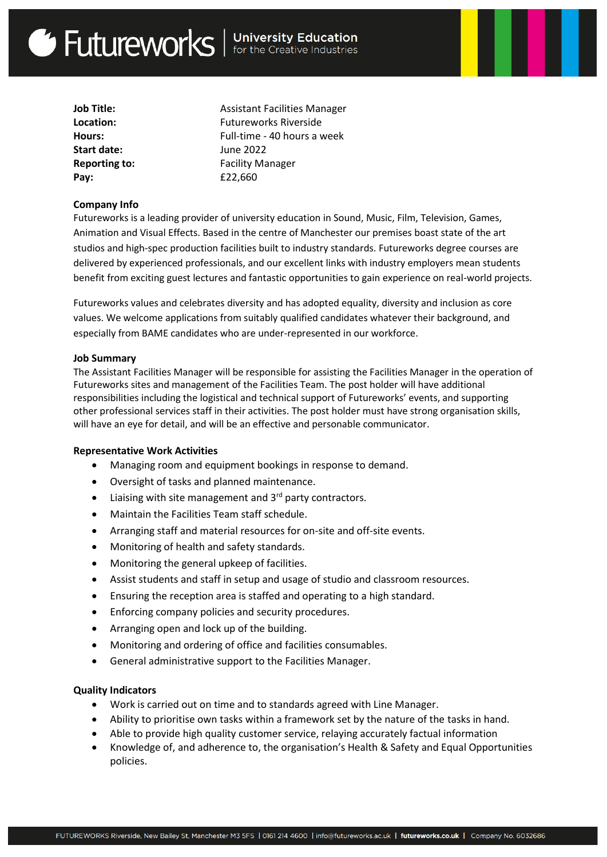# Get Futureworks | University Education

| Job Title:    |
|---------------|
| Location:     |
| Hours:        |
| Start date:   |
| Reporting to: |
| Pay:          |

**Job Title:** Assistant Facilities Manager **Location:** Futureworks Riverside **Hours:** Full-time - 40 hours a week **Start date:** June 2022 **Reporting to:** Facility Manager **Pay:** £22,660

## **Company Info**

Futureworks is a leading provider of university education in Sound, Music, Film, Television, Games, Animation and Visual Effects. Based in the centre of Manchester our premises boast state of the art studios and high-spec production facilities built to industry standards. Futureworks degree courses are delivered by experienced professionals, and our excellent links with industry employers mean students benefit from exciting guest lectures and fantastic opportunities to gain experience on real-world projects.

Futureworks values and celebrates diversity and has adopted equality, diversity and inclusion as core values. We welcome applications from suitably qualified candidates whatever their background, and especially from BAME candidates who are under-represented in our workforce.

### **Job Summary**

The Assistant Facilities Manager will be responsible for assisting the Facilities Manager in the operation of Futureworks sites and management of the Facilities Team. The post holder will have additional responsibilities including the logistical and technical support of Futureworks' events, and supporting other professional services staff in their activities. The post holder must have strong organisation skills, will have an eye for detail, and will be an effective and personable communicator.

### **Representative Work Activities**

- Managing room and equipment bookings in response to demand.
- Oversight of tasks and planned maintenance.
- $\bullet$  Liaising with site management and 3<sup>rd</sup> party contractors.
- Maintain the Facilities Team staff schedule.
- Arranging staff and material resources for on-site and off-site events.
- Monitoring of health and safety standards.
- Monitoring the general upkeep of facilities.
- Assist students and staff in setup and usage of studio and classroom resources.
- Ensuring the reception area is staffed and operating to a high standard.
- Enforcing company policies and security procedures.
- Arranging open and lock up of the building.
- Monitoring and ordering of office and facilities consumables.
- General administrative support to the Facilities Manager.

### **Quality Indicators**

- Work is carried out on time and to standards agreed with Line Manager.
- Ability to prioritise own tasks within a framework set by the nature of the tasks in hand.
- Able to provide high quality customer service, relaying accurately factual information
- Knowledge of, and adherence to, the organisation's Health & Safety and Equal Opportunities policies.